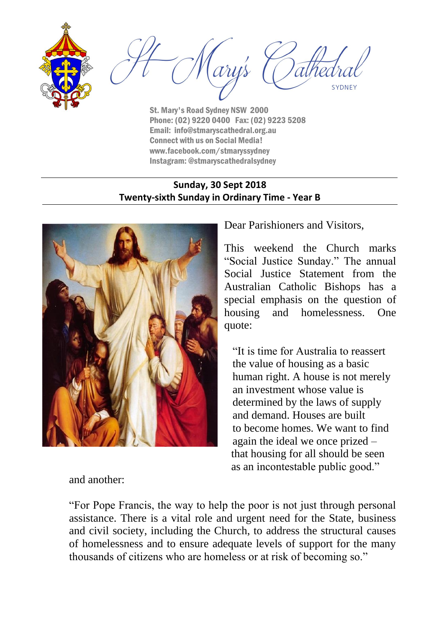

ary's SYDNEY

St. Mary's Road Sydney NSW 2000 Phone: (02) 9220 0400 Fax: (02) 9223 5208 Email: info@stmaryscathedral.org.au Connect with us on Social Media! www.facebook.com/stmaryssydney Instagram: @stmaryscathedralsydney

## **Sunday, 30 Sept 2018 Twenty-sixth Sunday in Ordinary Time - Year B**



Dear Parishioners and Visitors,

This weekend the Church marks "Social Justice Sunday." The annual Social Justice Statement from the Australian Catholic Bishops has a special emphasis on the question of housing and homelessness. One quote:

 "It is time for Australia to reassert the value of housing as a basic human right. A house is not merely an investment whose value is determined by the laws of supply and demand. Houses are built to become homes. We want to find again the ideal we once prized – that housing for all should be seen as an incontestable public good."

and another:

"For Pope Francis, the way to help the poor is not just through personal assistance. There is a vital role and urgent need for the State, business and civil society, including the Church, to address the structural causes of homelessness and to ensure adequate levels of support for the many thousands of citizens who are homeless or at risk of becoming so."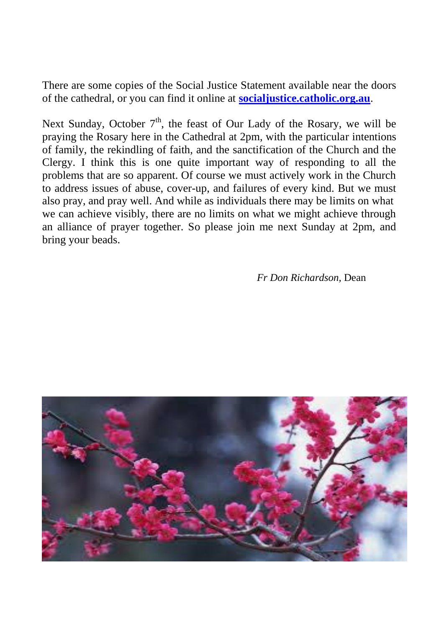There are some copies of the Social Justice Statement available near the doors of the cathedral, or you can find it online at **socialjustice.catholic.org.au**.

Next Sunday, October  $7<sup>th</sup>$ , the feast of Our Lady of the Rosary, we will be praying the Rosary here in the Cathedral at 2pm, with the particular intentions of family, the rekindling of faith, and the sanctification of the Church and the Clergy. I think this is one quite important way of responding to all the problems that are so apparent. Of course we must actively work in the Church to address issues of abuse, cover-up, and failures of every kind. But we must also pray, and pray well. And while as individuals there may be limits on what we can achieve visibly, there are no limits on what we might achieve through an alliance of prayer together. So please join me next Sunday at 2pm, and bring your beads.

*Fr Don Richardson,* Dean

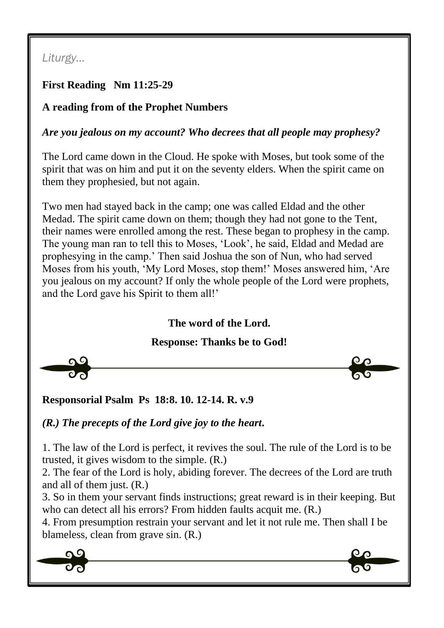# *Liturgy…*

## **First Reading Nm 11:25-29**

## **A reading from of the Prophet Numbers**

*Are you jealous on my account? Who decrees that all people may prophesy?*

The Lord came down in the Cloud. He spoke with Moses, but took some of the spirit that was on him and put it on the seventy elders. When the spirit came on them they prophesied, but not again.

Two men had stayed back in the camp; one was called Eldad and the other Medad. The spirit came down on them; though they had not gone to the Tent, their names were enrolled among the rest. These began to prophesy in the camp. The young man ran to tell this to Moses, 'Look', he said, Eldad and Medad are prophesying in the camp.' Then said Joshua the son of Nun, who had served Moses from his youth, 'My Lord Moses, stop them!' Moses answered him, 'Are you jealous on my account? If only the whole people of the Lord were prophets, and the Lord gave his Spirit to them all!'

# **The word of the Lord.**

## **Response: Thanks be to God!**



## **Responsorial Psalm Ps 18:8. 10. 12-14. R. v.9**

*(R.) The precepts of the Lord give joy to the heart***.**

1. The law of the Lord is perfect, it revives the soul. The rule of the Lord is to be trusted, it gives wisdom to the simple. (R.)

2. The fear of the Lord is holy, abiding forever. The decrees of the Lord are truth and all of them just. (R.)

3. So in them your servant finds instructions; great reward is in their keeping. But who can detect all his errors? From hidden faults acquit me. (R.)

4. From presumption restrain your servant and let it not rule me. Then shall I be blameless, clean from grave sin. (R.)

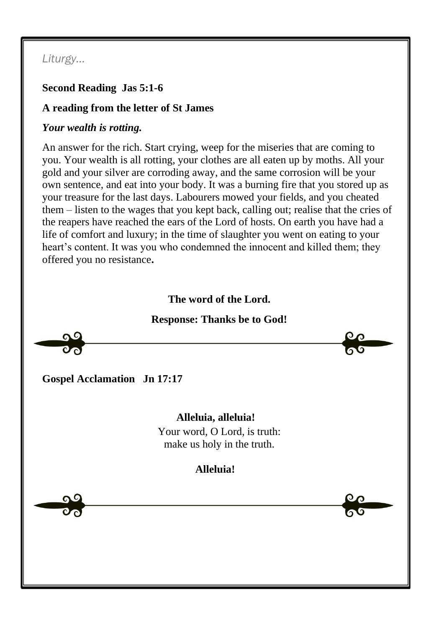## *Liturgy…*

# **Second Reading Jas 5:1-6**

## **A reading from the letter of St James**

## *Your wealth is rotting.*

An answer for the rich. Start crying, weep for the miseries that are coming to you. Your wealth is all rotting, your clothes are all eaten up by moths. All your gold and your silver are corroding away, and the same corrosion will be your own sentence, and eat into your body. It was a burning fire that you stored up as your treasure for the last days. Labourers mowed your fields, and you cheated them – listen to the wages that you kept back, calling out; realise that the cries of the reapers have reached the ears of the Lord of hosts. On earth you have had a life of comfort and luxury; in the time of slaughter you went on eating to your heart's content. It was you who condemned the innocent and killed them; they offered you no resistance**.**

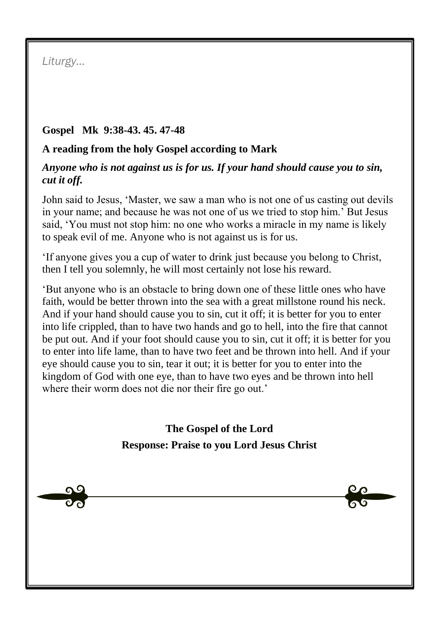*Liturgy…*

## **Gospel Mk 9:38-43. 45. 47-48**

## **A reading from the holy Gospel according to Mark**

## *Anyone who is not against us is for us. If your hand should cause you to sin, cut it off.*

John said to Jesus, 'Master, we saw a man who is not one of us casting out devils in your name; and because he was not one of us we tried to stop him.' But Jesus said, 'You must not stop him: no one who works a miracle in my name is likely to speak evil of me. Anyone who is not against us is for us.

'If anyone gives you a cup of water to drink just because you belong to Christ, then I tell you solemnly, he will most certainly not lose his reward.

'But anyone who is an obstacle to bring down one of these little ones who have faith, would be better thrown into the sea with a great millstone round his neck. And if your hand should cause you to sin, cut it off; it is better for you to enter into life crippled, than to have two hands and go to hell, into the fire that cannot be put out. And if your foot should cause you to sin, cut it off; it is better for you to enter into life lame, than to have two feet and be thrown into hell. And if your eye should cause you to sin, tear it out; it is better for you to enter into the kingdom of God with one eye, than to have two eyes and be thrown into hell where their worm does not die nor their fire go out.'

> **The Gospel of the Lord Response: Praise to you Lord Jesus Christ**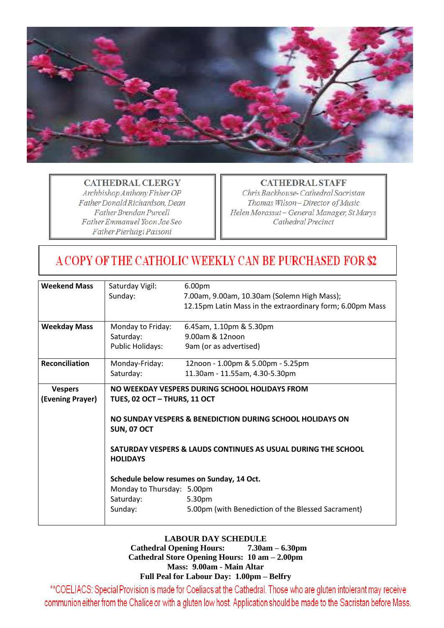

## **CATHEDRAL CLERGY**

Archbishop Anthony Fisher OP Father Donald Richardson, Dean Father Brendan Purcell Father Emmanuel Yoon Jae Seo Father Pierluigi Passoni

**CATHEDRAL STAFF** Chris Backhouse-Cathedral Sacristan Thomas Wilson-Director of Music Helen Morassut - General Manager, St Marys Cathedral Precinct

# A COPY OF THE CATHOLIC WEEKLY CAN BE PURCHASED FOR \$2

| <b>Weekend Mass</b>   | Saturday Vigil:                                                                                                                                                                                     | 6.00pm                                                    |
|-----------------------|-----------------------------------------------------------------------------------------------------------------------------------------------------------------------------------------------------|-----------------------------------------------------------|
|                       | Sunday:                                                                                                                                                                                             | 7.00am, 9.00am, 10.30am (Solemn High Mass);               |
|                       |                                                                                                                                                                                                     | 12.15pm Latin Mass in the extraordinary form; 6.00pm Mass |
| <b>Weekday Mass</b>   | Monday to Friday:                                                                                                                                                                                   | 6.45am, 1.10pm & 5.30pm                                   |
|                       | Saturday:                                                                                                                                                                                           | 9.00am & 12noon                                           |
|                       | Public Holidays:                                                                                                                                                                                    | 9am (or as advertised)                                    |
| <b>Reconciliation</b> | Monday-Friday:                                                                                                                                                                                      | 12noon - 1.00pm & 5.00pm - 5.25pm                         |
|                       | Saturday:                                                                                                                                                                                           | 11.30am - 11.55am, 4.30-5.30pm                            |
| <b>Vespers</b>        | NO WEEKDAY VESPERS DURING SCHOOL HOLIDAYS FROM                                                                                                                                                      |                                                           |
| (Evening Prayer)      | TUES, 02 OCT - THURS, 11 OCT<br>NO SUNDAY VESPERS & BENEDICTION DURING SCHOOL HOLIDAYS ON<br><b>SUN, 07 OCT</b><br>SATURDAY VESPERS & LAUDS CONTINUES AS USUAL DURING THE SCHOOL<br><b>HOLIDAYS</b> |                                                           |
|                       |                                                                                                                                                                                                     |                                                           |
|                       |                                                                                                                                                                                                     |                                                           |
|                       | Schedule below resumes on Sunday, 14 Oct.                                                                                                                                                           |                                                           |
|                       | Monday to Thursday: 5.00pm                                                                                                                                                                          |                                                           |
|                       | Saturday:                                                                                                                                                                                           | 5.30pm                                                    |
|                       | Sunday:                                                                                                                                                                                             | 5.00pm (with Benediction of the Blessed Sacrament)        |
|                       |                                                                                                                                                                                                     |                                                           |

### **LABOUR DAY SCHEDULE**

 **Cathedral Opening Hours: 7.30am – 6.30pm Cathedral Store Opening Hours: 10 am – 2.00pm Mass: 9.00am - Main Altar Full Peal for Labour Day: 1.00pm – Belfry**

\*\*COELIACS: Special Provision is made for Coeliacs at the Cathedral. Those who are gluten intolerant may receive communion either from the Chalice or with a gluten low host. Application should be made to the Sacristan before Mass.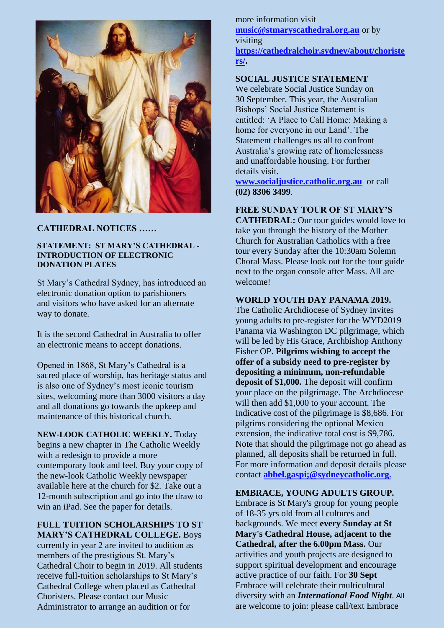

### **CATHEDRAL NOTICES ……**

### **STATEMENT: ST MARY'S CATHEDRAL - INTRODUCTION OF ELECTRONIC DONATION PLATES**

St Mary's Cathedral Sydney, has introduced an electronic donation option to parishioners and visitors who have asked for an alternate way to donate.

It is the second Cathedral in Australia to offer an electronic means to accept donations.

Opened in 1868, St Mary's Cathedral is a sacred place of worship, has heritage status and is also one of Sydney's most iconic tourism sites, welcoming more than 3000 visitors a day and all donations go towards the upkeep and maintenance of this historical church.

**NEW-LOOK CATHOLIC WEEKLY.** Today begins a new chapter in The Catholic Weekly with a redesign to provide a more contemporary look and feel. Buy your copy of the new-look Catholic Weekly newspaper available here at the church for \$2. Take out a 12-month subscription and go into the draw to win an iPad. See the paper for details.

### **FULL TUITION SCHOLARSHIPS TO ST MARY'S CATHEDRAL COLLEGE.** Boys

currently in year 2 are invited to audition as members of the prestigious St. Mary's Cathedral Choir to begin in 2019. All students receive full-tuition scholarships to St Mary's Cathedral College when placed as Cathedral Choristers. Please contact our Music Administrator to arrange an audition or for

more information visit **[music@stmaryscathedral.org.au](mailto:music@stmaryscathedral.org.au)** or by visiting **[https://cathedralchoir.sydney/about/choriste](https://cathedralchoir.sydney/about/choristers/) [rs/.](https://cathedralchoir.sydney/about/choristers/)**

### **SOCIAL JUSTICE STATEMENT**

We celebrate Social Justice Sunday on 30 September. This year, the Australian Bishops' Social Justice Statement is entitled: 'A Place to Call Home: Making a home for everyone in our Land'. The Statement challenges us all to confront Australia's growing rate of homelessness and unaffordable housing. For further details visit.

**[www.socialjustice.catholic.org.au](http://www.socialjustice.catholic.org.au/)** or call **(02) 8306 3499**.

### **FREE SUNDAY TOUR OF ST MARY'S**

**CATHEDRAL:** Our tour guides would love to take you through the history of the Mother Church for Australian Catholics with a free tour every Sunday after the 10:30am Solemn Choral Mass. Please look out for the tour guide next to the organ console after Mass. All are welcome!

### **WORLD YOUTH DAY PANAMA 2019.**

The Catholic Archdiocese of Sydney invites young adults to pre-register for the WYD2019 Panama via Washington DC pilgrimage, which will be led by His Grace, Archbishop Anthony Fisher OP. **Pilgrims wishing to accept the offer of a subsidy need to pre-register by depositing a minimum, non-refundable deposit of \$1,000.** The deposit will confirm your place on the pilgrimage. The Archdiocese will then add \$1,000 to your account. The Indicative cost of the pilgrimage is \$8,686. For pilgrims considering the optional Mexico extension, the indicative total cost is \$9,786. Note that should the pilgrimage not go ahead as planned, all deposits shall be returned in full. For more information and deposit details please contact **abbel.gaspi;@sydneycatholic.org.**

#### **EMBRACE, YOUNG ADULTS GROUP.**

Embrace is St Mary's group for young people of 18-35 yrs old from all cultures and backgrounds. We meet **every Sunday at St Mary's Cathedral House, adjacent to the Cathedral, after the 6.00pm Mass.** Our activities and youth projects are designed to support spiritual development and encourage active practice of our faith. For **30 Sept** Embrace will celebrate their multicultural diversity with an *International Food Night*. All are welcome to join: please call/text Embrace